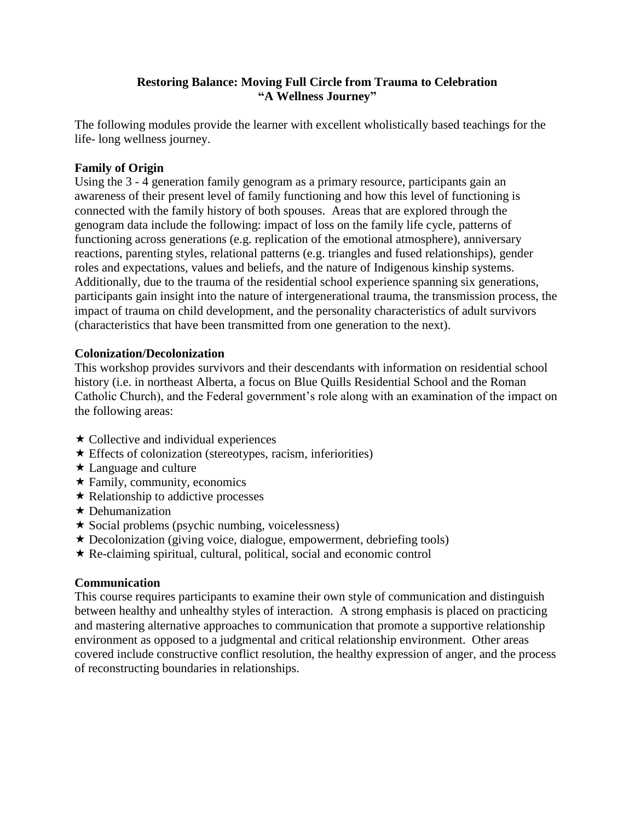### **Restoring Balance: Moving Full Circle from Trauma to Celebration "A Wellness Journey"**

The following modules provide the learner with excellent wholistically based teachings for the life- long wellness journey.

# **Family of Origin**

Using the 3 - 4 generation family genogram as a primary resource, participants gain an awareness of their present level of family functioning and how this level of functioning is connected with the family history of both spouses. Areas that are explored through the genogram data include the following: impact of loss on the family life cycle, patterns of functioning across generations (e.g. replication of the emotional atmosphere), anniversary reactions, parenting styles, relational patterns (e.g. triangles and fused relationships), gender roles and expectations, values and beliefs, and the nature of Indigenous kinship systems. Additionally, due to the trauma of the residential school experience spanning six generations, participants gain insight into the nature of intergenerational trauma, the transmission process, the impact of trauma on child development, and the personality characteristics of adult survivors (characteristics that have been transmitted from one generation to the next).

## **Colonization/Decolonization**

This workshop provides survivors and their descendants with information on residential school history (i.e. in northeast Alberta, a focus on Blue Quills Residential School and the Roman Catholic Church), and the Federal government's role along with an examination of the impact on the following areas:

- $\star$  Collective and individual experiences
- $\star$  Effects of colonization (stereotypes, racism, inferiorities)
- **★ Language and culture**
- $\star$  Family, community, economics
- $\star$  Relationship to addictive processes
- $\star$  Dehumanization
- $\star$  Social problems (psychic numbing, voicelessness)
- Decolonization (giving voice, dialogue, empowerment, debriefing tools)
- Re-claiming spiritual, cultural, political, social and economic control

#### **Communication**

This course requires participants to examine their own style of communication and distinguish between healthy and unhealthy styles of interaction. A strong emphasis is placed on practicing and mastering alternative approaches to communication that promote a supportive relationship environment as opposed to a judgmental and critical relationship environment. Other areas covered include constructive conflict resolution, the healthy expression of anger, and the process of reconstructing boundaries in relationships.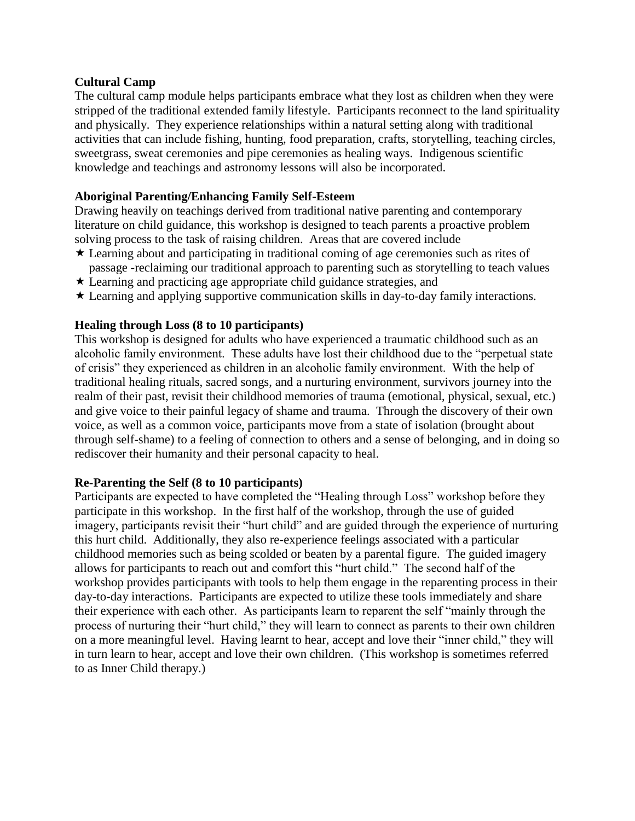### **Cultural Camp**

The cultural camp module helps participants embrace what they lost as children when they were stripped of the traditional extended family lifestyle. Participants reconnect to the land spirituality and physically. They experience relationships within a natural setting along with traditional activities that can include fishing, hunting, food preparation, crafts, storytelling, teaching circles, sweetgrass, sweat ceremonies and pipe ceremonies as healing ways. Indigenous scientific knowledge and teachings and astronomy lessons will also be incorporated.

### **Aboriginal Parenting/Enhancing Family Self-Esteem**

Drawing heavily on teachings derived from traditional native parenting and contemporary literature on child guidance, this workshop is designed to teach parents a proactive problem solving process to the task of raising children. Areas that are covered include

- Learning about and participating in traditional coming of age ceremonies such as rites of passage -reclaiming our traditional approach to parenting such as storytelling to teach values
- $\star$  Learning and practicing age appropriate child guidance strategies, and
- Learning and applying supportive communication skills in day-to-day family interactions.

## **Healing through Loss (8 to 10 participants)**

This workshop is designed for adults who have experienced a traumatic childhood such as an alcoholic family environment. These adults have lost their childhood due to the "perpetual state of crisis" they experienced as children in an alcoholic family environment. With the help of traditional healing rituals, sacred songs, and a nurturing environment, survivors journey into the realm of their past, revisit their childhood memories of trauma (emotional, physical, sexual, etc.) and give voice to their painful legacy of shame and trauma. Through the discovery of their own voice, as well as a common voice, participants move from a state of isolation (brought about through self-shame) to a feeling of connection to others and a sense of belonging, and in doing so rediscover their humanity and their personal capacity to heal.

#### **Re-Parenting the Self (8 to 10 participants)**

Participants are expected to have completed the "Healing through Loss" workshop before they participate in this workshop. In the first half of the workshop, through the use of guided imagery, participants revisit their "hurt child" and are guided through the experience of nurturing this hurt child. Additionally, they also re-experience feelings associated with a particular childhood memories such as being scolded or beaten by a parental figure. The guided imagery allows for participants to reach out and comfort this "hurt child." The second half of the workshop provides participants with tools to help them engage in the reparenting process in their day-to-day interactions. Participants are expected to utilize these tools immediately and share their experience with each other. As participants learn to reparent the self "mainly through the process of nurturing their "hurt child," they will learn to connect as parents to their own children on a more meaningful level. Having learnt to hear, accept and love their "inner child," they will in turn learn to hear, accept and love their own children. (This workshop is sometimes referred to as Inner Child therapy.)